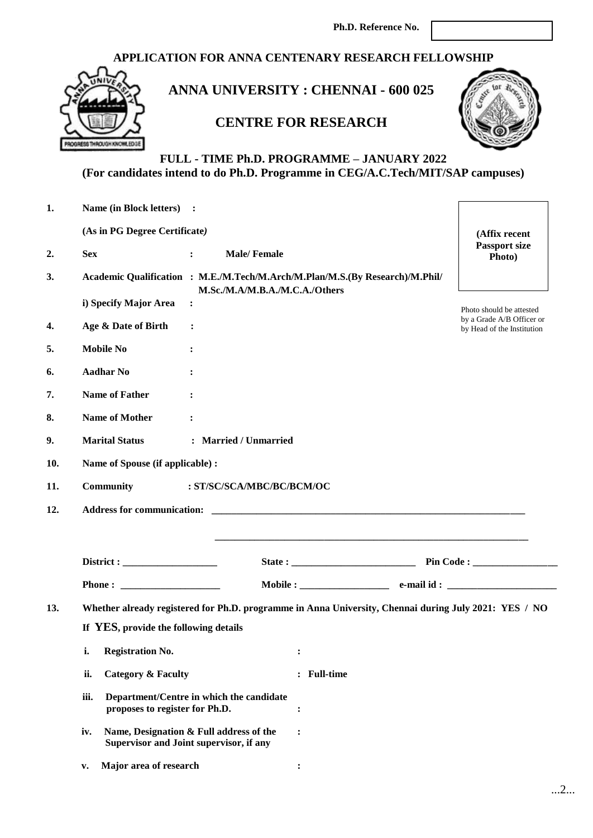### **APPLICATION FOR ANNA CENTENARY RESEARCH FELLOWSHIP**



# **ANNA UNIVERSITY : CHENNAI - 600 025**

# **CENTRE FOR RESEARCH**



### **FULL - TIME Ph.D. PROGRAMME – JANUARY 2022 (For candidates intend to do Ph.D. Programme in CEG/A.C.Tech/MIT/SAP campuses)**

| 1.  | Name (in Block letters) :                                                                 |                                          |                                                                                                       |                                                         |  |  |  |  |
|-----|-------------------------------------------------------------------------------------------|------------------------------------------|-------------------------------------------------------------------------------------------------------|---------------------------------------------------------|--|--|--|--|
|     | (As in PG Degree Certificate)                                                             |                                          |                                                                                                       | (Affix recent                                           |  |  |  |  |
| 2.  | <b>Sex</b><br>$\ddot{\cdot}$                                                              | <b>Male/Female</b>                       |                                                                                                       | <b>Passport size</b><br>Photo)                          |  |  |  |  |
| 3.  |                                                                                           | M.Sc./M.A/M.B.A./M.C.A./Others           | Academic Qualification : M.E./M.Tech/M.Arch/M.Plan/M.S.(By Research)/M.Phil/                          |                                                         |  |  |  |  |
|     | i) Specify Major Area<br>$\ddot{\cdot}$                                                   |                                          |                                                                                                       | Photo should be attested                                |  |  |  |  |
| 4.  | Age & Date of Birth<br>$\ddot{\cdot}$                                                     |                                          |                                                                                                       | by a Grade A/B Officer or<br>by Head of the Institution |  |  |  |  |
| 5.  | <b>Mobile No</b><br>:                                                                     |                                          |                                                                                                       |                                                         |  |  |  |  |
| 6.  | <b>Aadhar No</b><br>:                                                                     |                                          |                                                                                                       |                                                         |  |  |  |  |
| 7.  | <b>Name of Father</b><br>$\ddot{\cdot}$                                                   |                                          |                                                                                                       |                                                         |  |  |  |  |
| 8.  | <b>Name of Mother</b><br>:                                                                |                                          |                                                                                                       |                                                         |  |  |  |  |
| 9.  | <b>Marital Status</b>                                                                     | : Married / Unmarried                    |                                                                                                       |                                                         |  |  |  |  |
| 10. | Name of Spouse (if applicable) :                                                          |                                          |                                                                                                       |                                                         |  |  |  |  |
| 11. | <b>Community</b>                                                                          | : ST/SC/SCA/MBC/BC/BCM/OC                |                                                                                                       |                                                         |  |  |  |  |
| 12. |                                                                                           |                                          |                                                                                                       |                                                         |  |  |  |  |
|     |                                                                                           |                                          |                                                                                                       |                                                         |  |  |  |  |
|     |                                                                                           |                                          |                                                                                                       |                                                         |  |  |  |  |
|     |                                                                                           |                                          |                                                                                                       |                                                         |  |  |  |  |
| 13. |                                                                                           |                                          | Whether already registered for Ph.D. programme in Anna University, Chennai during July 2021: YES / NO |                                                         |  |  |  |  |
|     | If YES, provide the following details                                                     |                                          |                                                                                                       |                                                         |  |  |  |  |
|     | <b>Registration No.</b><br>i.                                                             |                                          | ፡                                                                                                     |                                                         |  |  |  |  |
|     | <b>Category &amp; Faculty</b><br>ii.                                                      |                                          | : Full-time                                                                                           |                                                         |  |  |  |  |
|     | iii.<br>proposes to register for Ph.D.                                                    | Department/Centre in which the candidate | :                                                                                                     |                                                         |  |  |  |  |
|     | Name, Designation & Full address of the<br>iv.<br>Supervisor and Joint supervisor, if any |                                          | $\ddot{\cdot}$                                                                                        |                                                         |  |  |  |  |
|     | Major area of research<br>$\mathbf{v}$ .                                                  |                                          | $\ddot{\cdot}$                                                                                        |                                                         |  |  |  |  |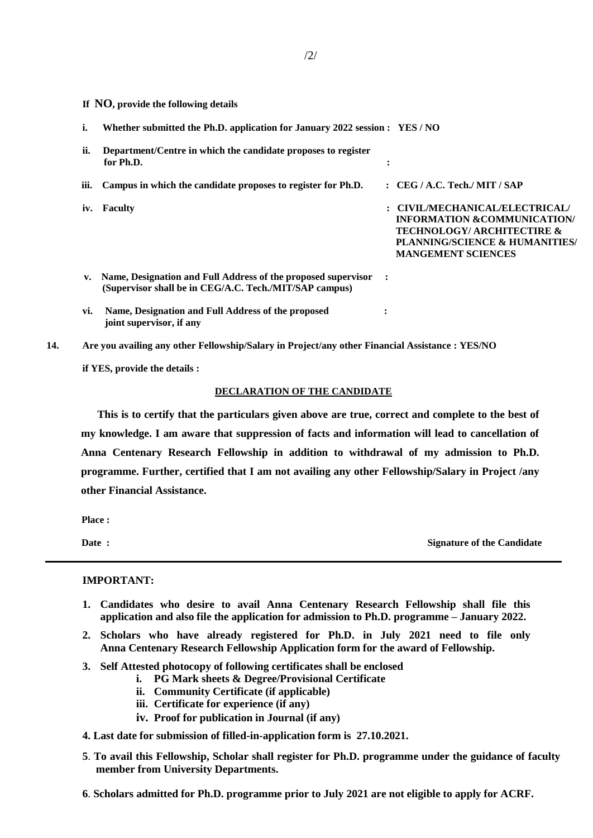**If NO, provide the following details**

| i.            | Whether submitted the Ph.D. application for January 2022 session : YES / NO                                             |           |                                                                                                                                                                                  |
|---------------|-------------------------------------------------------------------------------------------------------------------------|-----------|----------------------------------------------------------------------------------------------------------------------------------------------------------------------------------|
| ii.           | Department/Centre in which the candidate proposes to register<br>for Ph.D.                                              | $\bullet$ |                                                                                                                                                                                  |
| iii.          | Campus in which the candidate proposes to register for Ph.D.                                                            |           | $\therefore$ CEG / A.C. Tech./ MIT / SAP                                                                                                                                         |
| iv.           | <b>Faculty</b>                                                                                                          |           | : CIVIL/MECHANICAL/ELECTRICAL/<br><b>INFORMATION &amp;COMMUNICATION/</b><br><b>TECHNOLOGY/ ARCHITECTIRE &amp;</b><br>PLANNING/SCIENCE & HUMANITIES/<br><b>MANGEMENT SCIENCES</b> |
| $V_{\bullet}$ | Name, Designation and Full Address of the proposed supervisor<br>(Supervisor shall be in CEG/A.C. Tech./MIT/SAP campus) | $\cdot$   |                                                                                                                                                                                  |
| vi.           | Name, Designation and Full Address of the proposed<br>joint supervisor, if any                                          | ٠         |                                                                                                                                                                                  |

**14. Are you availing any other Fellowship/Salary in Project/any other Financial Assistance : YES/NO**

**if YES, provide the details :**

#### **DECLARATION OF THE CANDIDATE**

**This is to certify that the particulars given above are true, correct and complete to the best of my knowledge. I am aware that suppression of facts and information will lead to cancellation of Anna Centenary Research Fellowship in addition to withdrawal of my admission to Ph.D. programme. Further, certified that I am not availing any other Fellowship/Salary in Project /any other Financial Assistance.**

 **Place :**

**Date :** Signature of the Candidate **Signature of the Candidate** 

#### **IMPORTANT:**

- **1. Candidates who desire to avail Anna Centenary Research Fellowship shall file this application and also file the application for admission to Ph.D. programme – January 2022.**
- **2. Scholars who have already registered for Ph.D. in July 2021 need to file only Anna Centenary Research Fellowship Application form for the award of Fellowship.**
- **3. Self Attested photocopy of following certificates shall be enclosed**
	- **i. PG Mark sheets & Degree/Provisional Certificate**
	- **ii. Community Certificate (if applicable)**
	- **iii. Certificate for experience (if any)**
	- **iv. Proof for publication in Journal (if any)**
- **4. Last date for submission of filled-in-application form is 27.10.2021.**
- **5**. **To avail this Fellowship, Scholar shall register for Ph.D. programme under the guidance of faculty member from University Departments.**
- **6**. **Scholars admitted for Ph.D. programme prior to July 2021 are not eligible to apply for ACRF.**